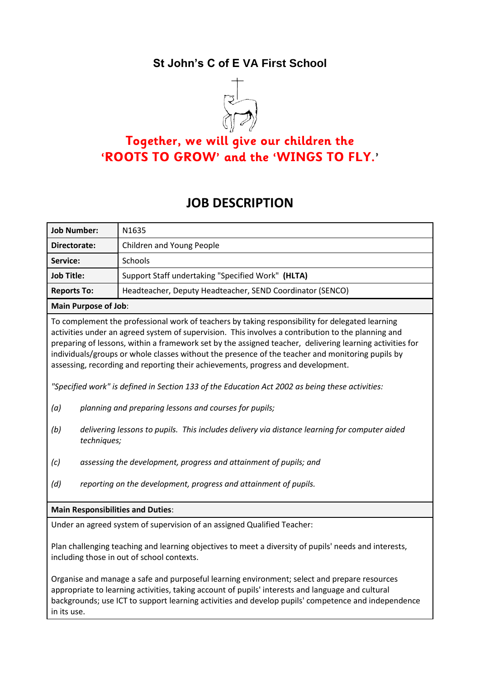# **St John's C of E VA First School**



# **Together, we will give our children the 'ROOTS TO GROW' and the 'WINGS TO FLY.'**

# **JOB DESCRIPTION**

| <b>Job Number:</b>                                                                                                                                                                                                                                                                                                                                                                                                                                                                                                                                                                                                                                                                                                                                                                                   | N1635                                                     |  |  |  |
|------------------------------------------------------------------------------------------------------------------------------------------------------------------------------------------------------------------------------------------------------------------------------------------------------------------------------------------------------------------------------------------------------------------------------------------------------------------------------------------------------------------------------------------------------------------------------------------------------------------------------------------------------------------------------------------------------------------------------------------------------------------------------------------------------|-----------------------------------------------------------|--|--|--|
| Directorate:                                                                                                                                                                                                                                                                                                                                                                                                                                                                                                                                                                                                                                                                                                                                                                                         | Children and Young People                                 |  |  |  |
| Service:                                                                                                                                                                                                                                                                                                                                                                                                                                                                                                                                                                                                                                                                                                                                                                                             | Schools                                                   |  |  |  |
| <b>Job Title:</b>                                                                                                                                                                                                                                                                                                                                                                                                                                                                                                                                                                                                                                                                                                                                                                                    | Support Staff undertaking "Specified Work" (HLTA)         |  |  |  |
| <b>Reports To:</b>                                                                                                                                                                                                                                                                                                                                                                                                                                                                                                                                                                                                                                                                                                                                                                                   | Headteacher, Deputy Headteacher, SEND Coordinator (SENCO) |  |  |  |
| <b>Main Purpose of Job:</b>                                                                                                                                                                                                                                                                                                                                                                                                                                                                                                                                                                                                                                                                                                                                                                          |                                                           |  |  |  |
| To complement the professional work of teachers by taking responsibility for delegated learning<br>activities under an agreed system of supervision. This involves a contribution to the planning and<br>preparing of lessons, within a framework set by the assigned teacher, delivering learning activities for<br>individuals/groups or whole classes without the presence of the teacher and monitoring pupils by<br>assessing, recording and reporting their achievements, progress and development.<br>"Specified work" is defined in Section 133 of the Education Act 2002 as being these activities:<br>planning and preparing lessons and courses for pupils;<br>(a)<br>delivering lessons to pupils. This includes delivery via distance learning for computer aided<br>(b)<br>techniques; |                                                           |  |  |  |
| assessing the development, progress and attainment of pupils; and<br>(c)                                                                                                                                                                                                                                                                                                                                                                                                                                                                                                                                                                                                                                                                                                                             |                                                           |  |  |  |
| (d)<br>reporting on the development, progress and attainment of pupils.                                                                                                                                                                                                                                                                                                                                                                                                                                                                                                                                                                                                                                                                                                                              |                                                           |  |  |  |
| <b>Main Responsibilities and Duties:</b>                                                                                                                                                                                                                                                                                                                                                                                                                                                                                                                                                                                                                                                                                                                                                             |                                                           |  |  |  |
| Under an agreed system of supervision of an assigned Qualified Teacher:                                                                                                                                                                                                                                                                                                                                                                                                                                                                                                                                                                                                                                                                                                                              |                                                           |  |  |  |
| Plan challenging teaching and learning objectives to meet a diversity of pupils' needs and interests,<br>including those in out of school contexts.                                                                                                                                                                                                                                                                                                                                                                                                                                                                                                                                                                                                                                                  |                                                           |  |  |  |
| Organise and manage a safe and purposeful learning environment; select and prepare resources<br>appropriate to learning activities, taking account of pupils' interests and language and cultural<br>backgrounds; use ICT to support learning activities and develop pupils' competence and independence<br>in its use.                                                                                                                                                                                                                                                                                                                                                                                                                                                                              |                                                           |  |  |  |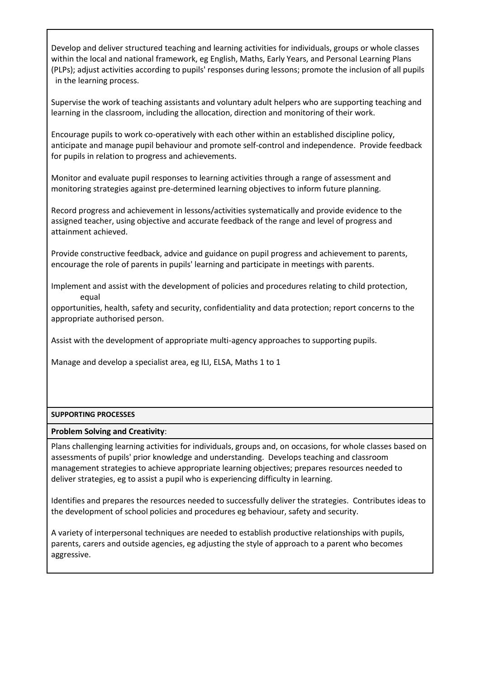Develop and deliver structured teaching and learning activities for individuals, groups or whole classes within the local and national framework, eg English, Maths, Early Years, and Personal Learning Plans (PLPs); adjust activities according to pupils' responses during lessons; promote the inclusion of all pupils in the learning process.

Supervise the work of teaching assistants and voluntary adult helpers who are supporting teaching and learning in the classroom, including the allocation, direction and monitoring of their work.

Encourage pupils to work co-operatively with each other within an established discipline policy, anticipate and manage pupil behaviour and promote self-control and independence. Provide feedback for pupils in relation to progress and achievements.

Monitor and evaluate pupil responses to learning activities through a range of assessment and monitoring strategies against pre-determined learning objectives to inform future planning.

Record progress and achievement in lessons/activities systematically and provide evidence to the assigned teacher, using objective and accurate feedback of the range and level of progress and attainment achieved.

Provide constructive feedback, advice and guidance on pupil progress and achievement to parents, encourage the role of parents in pupils' learning and participate in meetings with parents.

Implement and assist with the development of policies and procedures relating to child protection, equal

opportunities, health, safety and security, confidentiality and data protection; report concerns to the appropriate authorised person.

Assist with the development of appropriate multi-agency approaches to supporting pupils.

Manage and develop a specialist area, eg ILI, ELSA, Maths 1 to 1

#### **SUPPORTING PROCESSES**

#### **Problem Solving and Creativity**:

Plans challenging learning activities for individuals, groups and, on occasions, for whole classes based on assessments of pupils' prior knowledge and understanding. Develops teaching and classroom management strategies to achieve appropriate learning objectives; prepares resources needed to deliver strategies, eg to assist a pupil who is experiencing difficulty in learning.

Identifies and prepares the resources needed to successfully deliver the strategies. Contributes ideas to the development of school policies and procedures eg behaviour, safety and security.

A variety of interpersonal techniques are needed to establish productive relationships with pupils, parents, carers and outside agencies, eg adjusting the style of approach to a parent who becomes aggressive.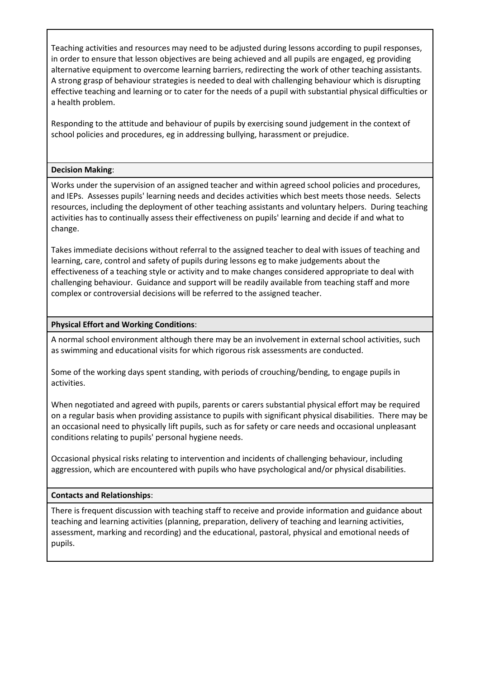Teaching activities and resources may need to be adjusted during lessons according to pupil responses, in order to ensure that lesson objectives are being achieved and all pupils are engaged, eg providing alternative equipment to overcome learning barriers, redirecting the work of other teaching assistants. A strong grasp of behaviour strategies is needed to deal with challenging behaviour which is disrupting effective teaching and learning or to cater for the needs of a pupil with substantial physical difficulties or a health problem.

Responding to the attitude and behaviour of pupils by exercising sound judgement in the context of school policies and procedures, eg in addressing bullying, harassment or prejudice.

### **Decision Making**:

Works under the supervision of an assigned teacher and within agreed school policies and procedures, and IEPs. Assesses pupils' learning needs and decides activities which best meets those needs. Selects resources, including the deployment of other teaching assistants and voluntary helpers. During teaching activities has to continually assess their effectiveness on pupils' learning and decide if and what to change.

Takes immediate decisions without referral to the assigned teacher to deal with issues of teaching and learning, care, control and safety of pupils during lessons eg to make judgements about the effectiveness of a teaching style or activity and to make changes considered appropriate to deal with challenging behaviour. Guidance and support will be readily available from teaching staff and more complex or controversial decisions will be referred to the assigned teacher.

## **Physical Effort and Working Conditions**:

A normal school environment although there may be an involvement in external school activities, such as swimming and educational visits for which rigorous risk assessments are conducted.

Some of the working days spent standing, with periods of crouching/bending, to engage pupils in activities.

When negotiated and agreed with pupils, parents or carers substantial physical effort may be required on a regular basis when providing assistance to pupils with significant physical disabilities. There may be an occasional need to physically lift pupils, such as for safety or care needs and occasional unpleasant conditions relating to pupils' personal hygiene needs.

Occasional physical risks relating to intervention and incidents of challenging behaviour, including aggression, which are encountered with pupils who have psychological and/or physical disabilities.

#### **Contacts and Relationships**:

There is frequent discussion with teaching staff to receive and provide information and guidance about teaching and learning activities (planning, preparation, delivery of teaching and learning activities, assessment, marking and recording) and the educational, pastoral, physical and emotional needs of pupils.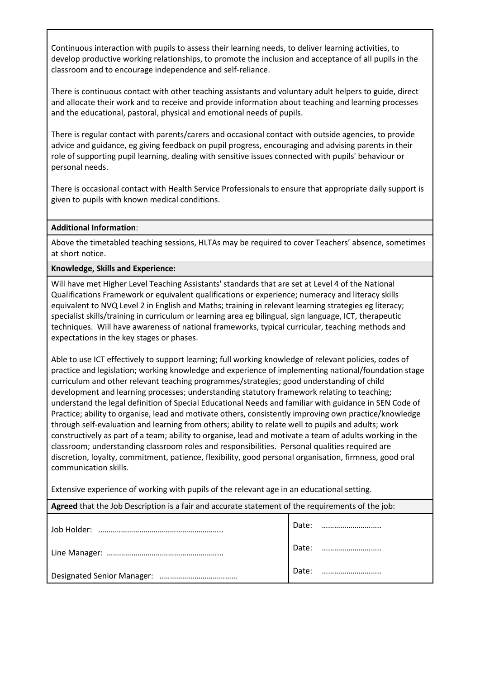Continuous interaction with pupils to assess their learning needs, to deliver learning activities, to develop productive working relationships, to promote the inclusion and acceptance of all pupils in the classroom and to encourage independence and self-reliance.

There is continuous contact with other teaching assistants and voluntary adult helpers to guide, direct and allocate their work and to receive and provide information about teaching and learning processes and the educational, pastoral, physical and emotional needs of pupils.

There is regular contact with parents/carers and occasional contact with outside agencies, to provide advice and guidance, eg giving feedback on pupil progress, encouraging and advising parents in their role of supporting pupil learning, dealing with sensitive issues connected with pupils' behaviour or personal needs.

There is occasional contact with Health Service Professionals to ensure that appropriate daily support is given to pupils with known medical conditions.

### **Additional Information**:

Above the timetabled teaching sessions, HLTAs may be required to cover Teachers' absence, sometimes at short notice.

**Knowledge, Skills and Experience:** 

Will have met Higher Level Teaching Assistants' standards that are set at Level 4 of the National Qualifications Framework or equivalent qualifications or experience; numeracy and literacy skills equivalent to NVQ Level 2 in English and Maths; training in relevant learning strategies eg literacy; specialist skills/training in curriculum or learning area eg bilingual, sign language, ICT, therapeutic techniques. Will have awareness of national frameworks, typical curricular, teaching methods and expectations in the key stages or phases.

Able to use ICT effectively to support learning; full working knowledge of relevant policies, codes of practice and legislation; working knowledge and experience of implementing national/foundation stage curriculum and other relevant teaching programmes/strategies; good understanding of child development and learning processes; understanding statutory framework relating to teaching; understand the legal definition of Special Educational Needs and familiar with guidance in SEN Code of Practice; ability to organise, lead and motivate others, consistently improving own practice/knowledge through self-evaluation and learning from others; ability to relate well to pupils and adults; work constructively as part of a team; ability to organise, lead and motivate a team of adults working in the classroom; understanding classroom roles and responsibilities. Personal qualities required are discretion, loyalty, commitment, patience, flexibility, good personal organisation, firmness, good oral communication skills.

Extensive experience of working with pupils of the relevant age in an educational setting.

| Agreed that the Job Description is a fair and accurate statement of the requirements of the job: |       |  |  |  |
|--------------------------------------------------------------------------------------------------|-------|--|--|--|
|                                                                                                  | Date: |  |  |  |
|                                                                                                  | Date: |  |  |  |
|                                                                                                  | Date: |  |  |  |